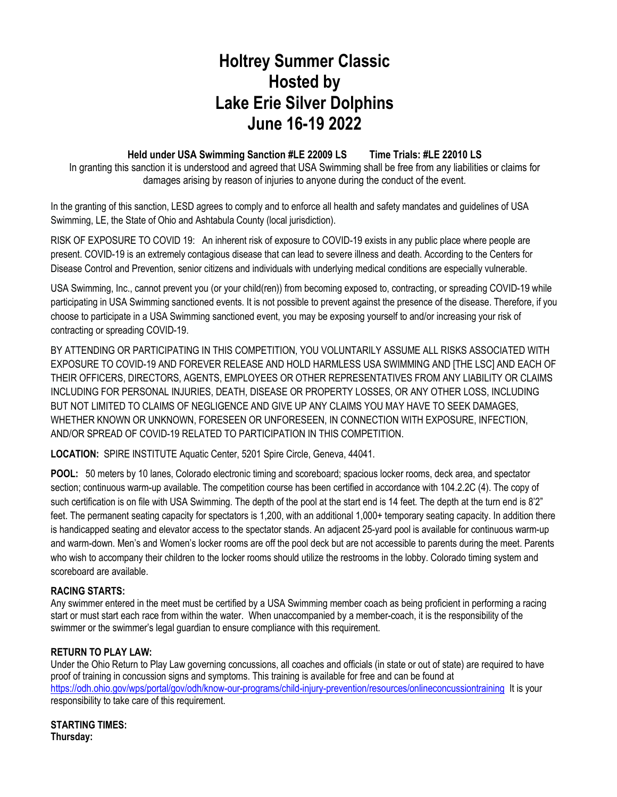# **Holtrey Summer Classic Hosted by Lake Erie Silver Dolphins June 16-19 2022**

# **Held under USA Swimming Sanction #LE 22009 LS Time Trials: #LE 22010 LS**

In granting this sanction it is understood and agreed that USA Swimming shall be free from any liabilities or claims for damages arising by reason of injuries to anyone during the conduct of the event.

In the granting of this sanction, LESD agrees to comply and to enforce all health and safety mandates and guidelines of USA Swimming, LE, the State of Ohio and Ashtabula County (local jurisdiction).

RISK OF EXPOSURE TO COVID 19: An inherent risk of exposure to COVID-19 exists in any public place where people are present. COVID-19 is an extremely contagious disease that can lead to severe illness and death. According to the Centers for Disease Control and Prevention, senior citizens and individuals with underlying medical conditions are especially vulnerable.

USA Swimming, Inc., cannot prevent you (or your child(ren)) from becoming exposed to, contracting, or spreading COVID-19 while participating in USA Swimming sanctioned events. It is not possible to prevent against the presence of the disease. Therefore, if you choose to participate in a USA Swimming sanctioned event, you may be exposing yourself to and/or increasing your risk of contracting or spreading COVID-19.

BY ATTENDING OR PARTICIPATING IN THIS COMPETITION, YOU VOLUNTARILY ASSUME ALL RISKS ASSOCIATED WITH EXPOSURE TO COVID-19 AND FOREVER RELEASE AND HOLD HARMLESS USA SWIMMING AND [THE LSC] AND EACH OF THEIR OFFICERS, DIRECTORS, AGENTS, EMPLOYEES OR OTHER REPRESENTATIVES FROM ANY LIABILITY OR CLAIMS INCLUDING FOR PERSONAL INJURIES, DEATH, DISEASE OR PROPERTY LOSSES, OR ANY OTHER LOSS, INCLUDING BUT NOT LIMITED TO CLAIMS OF NEGLIGENCE AND GIVE UP ANY CLAIMS YOU MAY HAVE TO SEEK DAMAGES, WHETHER KNOWN OR UNKNOWN, FORESEEN OR UNFORESEEN, IN CONNECTION WITH EXPOSURE, INFECTION, AND/OR SPREAD OF COVID-19 RELATED TO PARTICIPATION IN THIS COMPETITION.

**LOCATION:** SPIRE INSTITUTE Aquatic Center, 5201 Spire Circle, Geneva, 44041.

**POOL:** 50 meters by 10 lanes, Colorado electronic timing and scoreboard; spacious locker rooms, deck area, and spectator section; continuous warm-up available. The competition course has been certified in accordance with 104.2.2C (4). The copy of such certification is on file with USA Swimming. The depth of the pool at the start end is 14 feet. The depth at the turn end is 8'2" feet. The permanent seating capacity for spectators is 1,200, with an additional 1,000+ temporary seating capacity. In addition there is handicapped seating and elevator access to the spectator stands. An adjacent 25-yard pool is available for continuous warm-up and warm-down. Men's and Women's locker rooms are off the pool deck but are not accessible to parents during the meet. Parents who wish to accompany their children to the locker rooms should utilize the restrooms in the lobby. Colorado timing system and scoreboard are available.

## **RACING STARTS:**

Any swimmer entered in the meet must be certified by a USA Swimming member coach as being proficient in performing a racing start or must start each race from within the water. When unaccompanied by a member-coach, it is the responsibility of the swimmer or the swimmer's legal guardian to ensure compliance with this requirement.

## **RETURN TO PLAY LAW:**

Under the Ohio Return to Play Law governing concussions, all coaches and officials (in state or out of state) are required to have proof of training in concussion signs and symptoms. This training is available for free and can be found at <https://odh.ohio.gov/wps/portal/gov/odh/know-our-programs/child-injury-prevention/resources/onlineconcussiontraining> It is your responsibility to take care of this requirement.

**STARTING TIMES: Thursday:**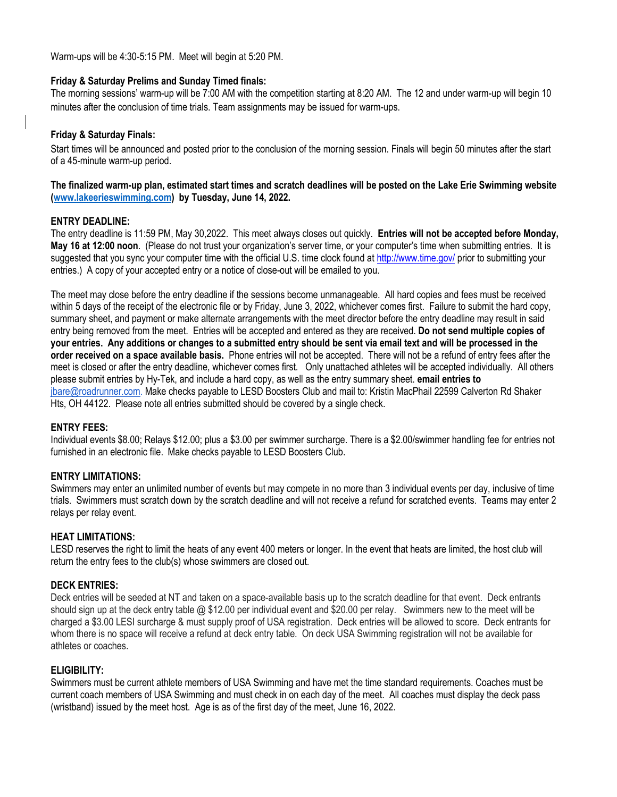Warm-ups will be 4:30-5:15 PM. Meet will begin at 5:20 PM.

#### **Friday & Saturday Prelims and Sunday Timed finals:**

The morning sessions' warm-up will be 7:00 AM with the competition starting at 8:20 AM. The 12 and under warm-up will begin 10 minutes after the conclusion of time trials. Team assignments may be issued for warm-ups.

#### **Friday & Saturday Finals:**

Start times will be announced and posted prior to the conclusion of the morning session. Finals will begin 50 minutes after the start of a 45-minute warm-up period.

#### **The finalized warm-up plan, estimated start times and scratch deadlines will be posted on the Lake Erie Swimming website (www.lakeerieswimming.com) by Tuesday, June 14, 2022.**

#### **ENTRY DEADLINE:**

The entry deadline is 11:59 PM, May 30,2022. This meet always closes out quickly. **Entries will not be accepted before Monday, May 16 at 12:00 noon**. (Please do not trust your organization's server time, or your computer's time when submitting entries. It is suggested that you sync your computer time with the official U.S. time clock found at<http://www.time.gov/> prior to submitting your entries.) A copy of your accepted entry or a notice of close-out will be emailed to you.

The meet may close before the entry deadline if the sessions become unmanageable. All hard copies and fees must be received within 5 days of the receipt of the electronic file or by Friday, June 3, 2022, whichever comes first. Failure to submit the hard copy, summary sheet, and payment or make alternate arrangements with the meet director before the entry deadline may result in said entry being removed from the meet. Entries will be accepted and entered as they are received. **Do not send multiple copies of your entries. Any additions or changes to a submitted entry should be sent via email text and will be processed in the order received on a space available basis.** Phone entries will not be accepted. There will not be a refund of entry fees after the meet is closed or after the entry deadline, whichever comes first. Only unattached athletes will be accepted individually. All others please submit entries by Hy-Tek, and include a hard copy, as well as the entry summary sheet. **email entries to**  [jbare@roadrunner.com.](mailto:jbare@roadrunner.com) Make checks payable to LESD Boosters Club and mail to: Kristin MacPhail 22599 Calverton Rd Shaker Hts, OH 44122. Please note all entries submitted should be covered by a single check.

#### **ENTRY FEES:**

Individual events \$8.00; Relays \$12.00; plus a \$3.00 per swimmer surcharge. There is a \$2.00/swimmer handling fee for entries not furnished in an electronic file. Make checks payable to LESD Boosters Club.

#### **ENTRY LIMITATIONS:**

Swimmers may enter an unlimited number of events but may compete in no more than 3 individual events per day, inclusive of time trials. Swimmers must scratch down by the scratch deadline and will not receive a refund for scratched events. Teams may enter 2 relays per relay event.

#### **HEAT LIMITATIONS:**

LESD reserves the right to limit the heats of any event 400 meters or longer. In the event that heats are limited, the host club will return the entry fees to the club(s) whose swimmers are closed out.

#### **DECK ENTRIES:**

Deck entries will be seeded at NT and taken on a space-available basis up to the scratch deadline for that event. Deck entrants should sign up at the deck entry table @ \$12.00 per individual event and \$20.00 per relay. Swimmers new to the meet will be charged a \$3.00 LESI surcharge & must supply proof of USA registration. Deck entries will be allowed to score*.* Deck entrants for whom there is no space will receive a refund at deck entry table. On deck USA Swimming registration will not be available for athletes or coaches.

#### **ELIGIBILITY:**

Swimmers must be current athlete members of USA Swimming and have met the time standard requirements. Coaches must be current coach members of USA Swimming and must check in on each day of the meet. All coaches must display the deck pass (wristband) issued by the meet host. Age is as of the first day of the meet, June 16, 2022.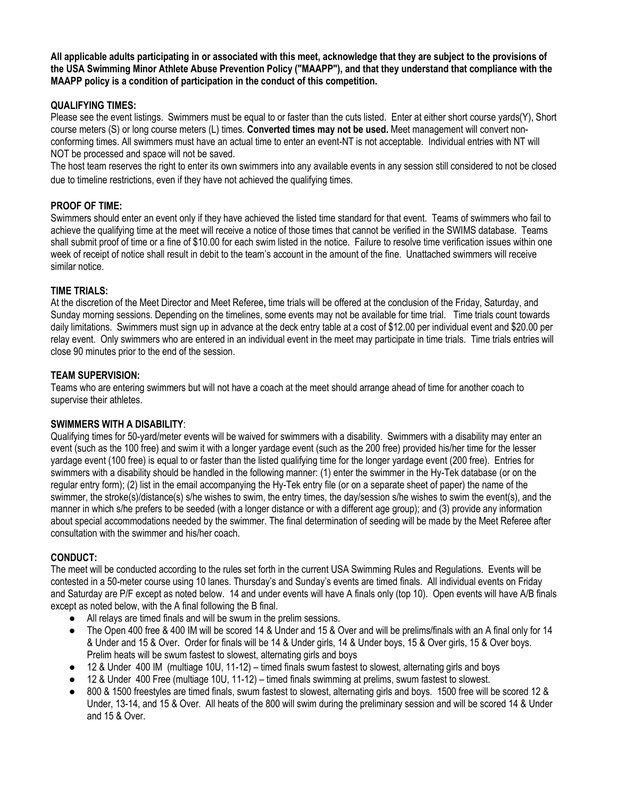**All applicable adults participating in or associated with this meet, acknowledge that they are subject to the provisions of the USA Swimming Minor Athlete Abuse Prevention Policy ("MAAPP"), and that they understand that compliance with the MAAPP policy is a condition of participation in the conduct of this competition.**

### **QUALIFYING TIMES:**

Please see the event listings. Swimmers must be equal to or faster than the cuts listed. Enter at either short course yards(Y), Short course meters (S) or long course meters (L) times. **Converted times may not be used.** Meet management will convert nonconforming times. All swimmers must have an actual time to enter an event-NT is not acceptable. Individual entries with NT will NOT be processed and space will not be saved.

The host team reserves the right to enter its own swimmers into any available events in any session still considered to not be closed due to timeline restrictions, even if they have not achieved the qualifying times.

### **PROOF OF TIME:**

Swimmers should enter an event only if they have achieved the listed time standard for that event. Teams of swimmers who fail to achieve the qualifying time at the meet will receive a notice of those times that cannot be verified in the SWIMS database. Teams shall submit proof of time or a fine of \$10.00 for each swim listed in the notice. Failure to resolve time verification issues within one week of receipt of notice shall result in debit to the team's account in the amount of the fine. Unattached swimmers will receive similar notice.

### **TIME TRIALS:**

At the discretion of the Meet Director and Meet Referee**,** time trials will be offered at the conclusion of the Friday, Saturday, and Sunday morning sessions. Depending on the timelines, some events may not be available for time trial. Time trials count towards daily limitations. Swimmers must sign up in advance at the deck entry table at a cost of \$12.00 per individual event and \$20.00 per relay event. Only swimmers who are entered in an individual event in the meet may participate in time trials. Time trials entries will close 90 minutes prior to the end of the session.

#### **TEAM SUPERVISION:**

Teams who are entering swimmers but will not have a coach at the meet should arrange ahead of time for another coach to supervise their athletes.

#### **SWIMMERS WITH A DISABILITY**:

Qualifying times for 50-yard/meter events will be waived for swimmers with a disability. Swimmers with a disability may enter an event (such as the 100 free) and swim it with a longer yardage event (such as the 200 free) provided his/her time for the lesser yardage event (100 free) is equal to or faster than the listed qualifying time for the longer yardage event (200 free). Entries for swimmers with a disability should be handled in the following manner: (1) enter the swimmer in the Hy-Tek database (or on the regular entry form); (2) list in the email accompanying the Hy-Tek entry file (or on a separate sheet of paper) the name of the swimmer, the stroke(s)/distance(s) s/he wishes to swim, the entry times, the day/session s/he wishes to swim the event(s), and the manner in which s/he prefers to be seeded (with a longer distance or with a different age group); and (3) provide any information about special accommodations needed by the swimmer. The final determination of seeding will be made by the Meet Referee after consultation with the swimmer and his/her coach.

#### **CONDUCT:**

The meet will be conducted according to the rules set forth in the current USA Swimming Rules and Regulations. Events will be contested in a 50-meter course using 10 lanes. Thursday's and Sunday's events are timed finals. All individual events on Friday and Saturday are P/F except as noted below. 14 and under events will have A finals only (top 10). Open events will have A/B finals except as noted below, with the A final following the B final.

- All relays are timed finals and will be swum in the prelim sessions.
- The Open 400 free & 400 IM will be scored 14 & Under and 15 & Over and will be prelims/finals with an A final only for 14 & Under and 15 & Over. Order for finals will be 14 & Under girls, 14 & Under boys, 15 & Over girls, 15 & Over boys. Prelim heats will be swum fastest to slowest, alternating girls and boys
- 12 & Under 400 IM (multiage 10U, 11-12) timed finals swum fastest to slowest, alternating girls and boys
- 12 & Under 400 Free (multiage 10U, 11-12) timed finals swimming at prelims, swum fastest to slowest.
- 800 & 1500 freestyles are timed finals, swum fastest to slowest, alternating girls and boys. 1500 free will be scored 12 & Under, 13-14, and 15 & Over. All heats of the 800 will swim during the preliminary session and will be scored 14 & Under and 15 & Over.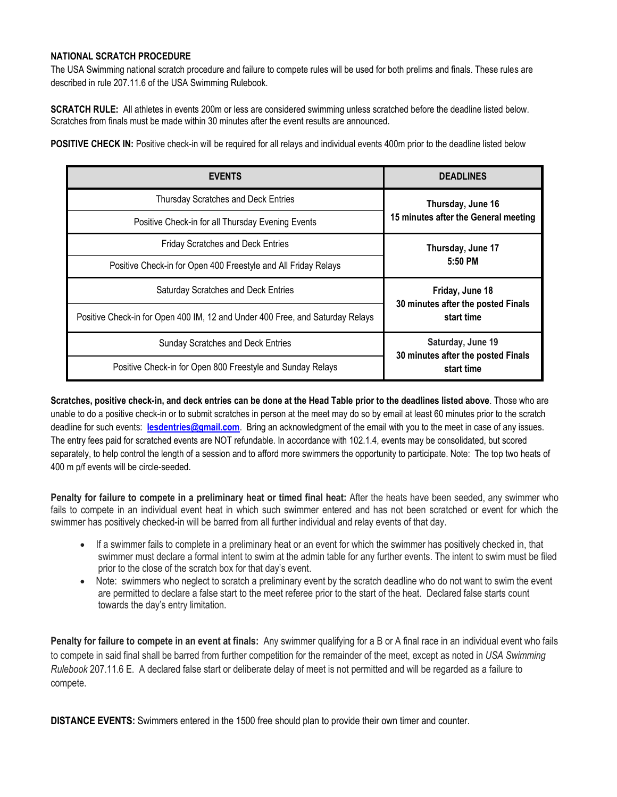#### **NATIONAL SCRATCH PROCEDURE**

The USA Swimming national scratch procedure and failure to compete rules will be used for both prelims and finals. These rules are described in rule 207.11.6 of the USA Swimming Rulebook.

**SCRATCH RULE:** All athletes in events 200m or less are considered swimming unless scratched before the deadline listed below. Scratches from finals must be made within 30 minutes after the event results are announced.

**POSITIVE CHECK IN:** Positive check-in will be required for all relays and individual events 400m prior to the deadline listed below

| <b>EVENTS</b>                                                                 | <b>DEADLINES</b>                                        |
|-------------------------------------------------------------------------------|---------------------------------------------------------|
| <b>Thursday Scratches and Deck Entries</b>                                    | Thursday, June 16                                       |
| Positive Check-in for all Thursday Evening Events                             | 15 minutes after the General meeting                    |
| <b>Friday Scratches and Deck Entries</b>                                      | Thursday, June 17                                       |
| Positive Check-in for Open 400 Freestyle and All Friday Relays                | 5:50 PM                                                 |
| Saturday Scratches and Deck Entries                                           | Friday, June 18                                         |
| Positive Check-in for Open 400 IM, 12 and Under 400 Free, and Saturday Relays | 30 minutes after the posted Finals<br>start time        |
| <b>Sunday Scratches and Deck Entries</b>                                      | Saturday, June 19<br>30 minutes after the posted Finals |
| Positive Check-in for Open 800 Freestyle and Sunday Relays                    | start time                                              |

**Scratches, positive check-in, and deck entries can be done at the Head Table prior to the deadlines listed above**. Those who are unable to do a positive check-in or to submit scratches in person at the meet may do so by email at least 60 minutes prior to the scratch deadline for such events: **[lesdentries@gmail.com](mailto:lesdentries@gmail.com)**. Bring an acknowledgment of the email with you to the meet in case of any issues. The entry fees paid for scratched events are NOT refundable. In accordance with 102.1.4, events may be consolidated, but scored separately, to help control the length of a session and to afford more swimmers the opportunity to participate. Note: The top two heats of 400 m p/f events will be circle-seeded.

**Penalty for failure to compete in a preliminary heat or timed final heat:** After the heats have been seeded, any swimmer who fails to compete in an individual event heat in which such swimmer entered and has not been scratched or event for which the swimmer has positively checked-in will be barred from all further individual and relay events of that day.

- If a swimmer fails to complete in a preliminary heat or an event for which the swimmer has positively checked in, that swimmer must declare a formal intent to swim at the admin table for any further events. The intent to swim must be filed prior to the close of the scratch box for that day's event.
- Note: swimmers who neglect to scratch a preliminary event by the scratch deadline who do not want to swim the event are permitted to declare a false start to the meet referee prior to the start of the heat. Declared false starts count towards the day's entry limitation.

**Penalty for failure to compete in an event at finals:** Any swimmer qualifying for a B or A final race in an individual event who fails to compete in said final shall be barred from further competition for the remainder of the meet, except as noted in *USA Swimming Rulebook* 207.11.6 E. A declared false start or deliberate delay of meet is not permitted and will be regarded as a failure to compete.

**DISTANCE EVENTS:** Swimmers entered in the 1500 free should plan to provide their own timer and counter.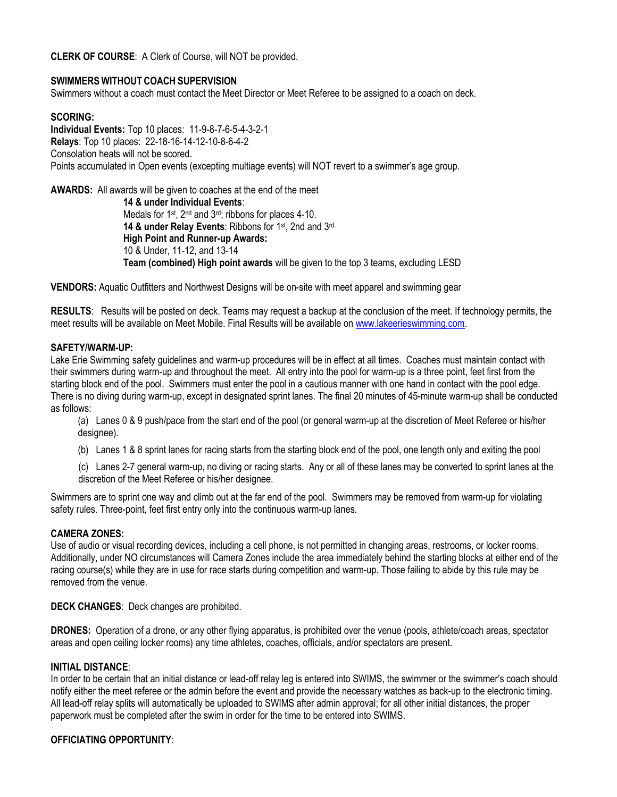**CLERK OF COURSE**: A Clerk of Course, will NOT be provided.

#### **SWIMMERS WITHOUT COACH SUPERVISION**

Swimmers without a coach must contact the Meet Director or Meet Referee to be assigned to a coach on deck.

#### **SCORING:**

**Individual Events:** Top 10 places: 11-9-8-7-6-5-4-3-2-1 **Relays**: Top 10 places: 22-18-16-14-12-10-8-6-4-2 Consolation heats will not be scored. Points accumulated in Open events (excepting multiage events) will NOT revert to a swimmer's age group.

**AWARDS:** All awards will be given to coaches at the end of the meet

**14 & under Individual Events**: Medals for 1st, 2nd and 3rd; ribbons for places 4-10. **14 & under Relay Events**: Ribbons for 1st, 2nd and 3rd. **High Point and Runner-up Awards:**  10 & Under, 11-12, and 13-14 **Team (combined) High point awards** will be given to the top 3 teams, excluding LESD

**VENDORS:** Aquatic Outfitters and Northwest Designs will be on-site with meet apparel and swimming gear

**RESULTS**: Results will be posted on deck. Teams may request a backup at the conclusion of the meet. If technology permits, the meet results will be available on Meet Mobile. Final Results will be available on [www.lakeerieswimming.com.](http://www.lakeerieswimming.com/)

#### **SAFETY/WARM-UP:**

Lake Erie Swimming safety guidelines and warm-up procedures will be in effect at all times. Coaches must maintain contact with their swimmers during warm-up and throughout the meet. All entry into the pool for warm-up is a three point, feet first from the starting block end of the pool. Swimmers must enter the pool in a cautious manner with one hand in contact with the pool edge. There is no diving during warm-up, except in designated sprint lanes. The final 20 minutes of 45-minute warm-up shall be conducted as follows:

(a) Lanes 0 & 9 push/pace from the start end of the pool (or general warm-up at the discretion of Meet Referee or his/her designee).

- (b) Lanes 1 & 8 sprint lanes for racing starts from the starting block end of the pool, one length only and exiting the pool
- (c) Lanes 2-7 general warm-up, no diving or racing starts. Any or all of these lanes may be converted to sprint lanes at the discretion of the Meet Referee or his/her designee.

Swimmers are to sprint one way and climb out at the far end of the pool. Swimmers may be removed from warm-up for violating safety rules. Three-point, feet first entry only into the continuous warm-up lanes.

#### **CAMERA ZONES:**

Use of audio or visual recording devices, including a cell phone, is not permitted in changing areas, restrooms, or locker rooms. Additionally, under NO circumstances will Camera Zones include the area immediately behind the starting blocks at either end of the racing course(s) while they are in use for race starts during competition and warm-up. Those failing to abide by this rule may be removed from the venue.

**DECK CHANGES**: Deck changes are prohibited.

**DRONES:** Operation of a drone, or any other flying apparatus, is prohibited over the venue (pools, athlete/coach areas, spectator areas and open ceiling locker rooms) any time athletes, coaches, officials, and/or spectators are present.

#### **INITIAL DISTANCE**:

In order to be certain that an initial distance or lead-off relay leg is entered into SWIMS, the swimmer or the swimmer's coach should notify either the meet referee or the admin before the event and provide the necessary watches as back-up to the electronic timing. All lead-off relay splits will automatically be uploaded to SWIMS after admin approval; for all other initial distances, the proper paperwork must be completed after the swim in order for the time to be entered into SWIMS.

#### **OFFICIATING OPPORTUNITY**: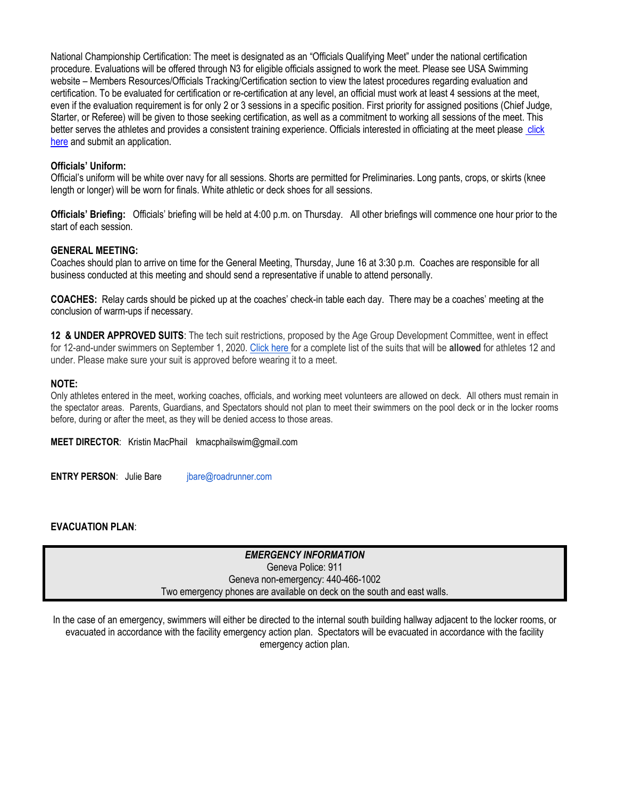National Championship Certification: The meet is designated as an "Officials Qualifying Meet" under the national certification procedure. Evaluations will be offered through N3 for eligible officials assigned to work the meet. Please see USA Swimming website – Members Resources/Officials Tracking/Certification section to view the latest procedures regarding evaluation and certification. To be evaluated for certification or re-certification at any level, an official must work at least 4 sessions at the meet, even if the evaluation requirement is for only 2 or 3 sessions in a specific position. First priority for assigned positions (Chief Judge, Starter, or Referee) will be given to those seeking certification, as well as a commitment to working all sessions of the meet. This better serves the athletes and provides a consistent training experience. Officials interested in officiating at the meet pleas[e click](https://docs.google.com/forms/d/107yFMOuosud8j9PJZPgQWv5Yaji__dvpyq3TQnamT58/viewform?edit_requested=true) [here](https://docs.google.com/forms/d/107yFMOuosud8j9PJZPgQWv5Yaji__dvpyq3TQnamT58/viewform?edit_requested=true) and submit an application.

#### **Officials' Uniform:**

Official's uniform will be white over navy for all sessions. Shorts are permitted for Preliminaries. Long pants, crops, or skirts (knee length or longer) will be worn for finals. White athletic or deck shoes for all sessions.

**Officials' Briefing:** Officials' briefing will be held at 4:00 p.m. on Thursday. All other briefings will commence one hour prior to the start of each session.

#### **GENERAL MEETING:**

Coaches should plan to arrive on time for the General Meeting, Thursday, June 16 at 3:30 p.m. Coaches are responsible for all business conducted at this meeting and should send a representative if unable to attend personally.

**COACHES:** Relay cards should be picked up at the coaches' check-in table each day. There may be a coaches' meeting at the conclusion of warm-ups if necessary.

**12 & UNDER APPROVED SUITS**: The tech suit restrictions, proposed by the Age Group Development Committee, went in effect for 12-and-under swimmers on September 1, 2020. [Click here f](https://www.usaswimming.org/news/2020/08/24/tech-suit-restriction-for-12-and-under-swimmers)or a complete list of the suits that will be **allowed** for athletes 12 and under. Please make sure your suit is approved before wearing it to a meet.

#### **NOTE:**

Only athletes entered in the meet, working coaches, officials, and working meet volunteers are allowed on deck. All others must remain in the spectator areas. Parents, Guardians, and Spectators should not plan to meet their swimmers on the pool deck or in the locker rooms before, during or after the meet, as they will be denied access to those areas.

**MEET DIRECTOR**: Kristin MacPhail kmacphailswim@gmail.com

**ENTRY PERSON:** Julie Bare ibare@roadrunner.com

#### **EVACUATION PLAN**:

*EMERGENCY INFORMATION* Geneva Police: 911 Geneva non-emergency: 440-466-1002 Two emergency phones are available on deck on the south and east walls.

In the case of an emergency, swimmers will either be directed to the internal south building hallway adjacent to the locker rooms, or evacuated in accordance with the facility emergency action plan. Spectators will be evacuated in accordance with the facility emergency action plan.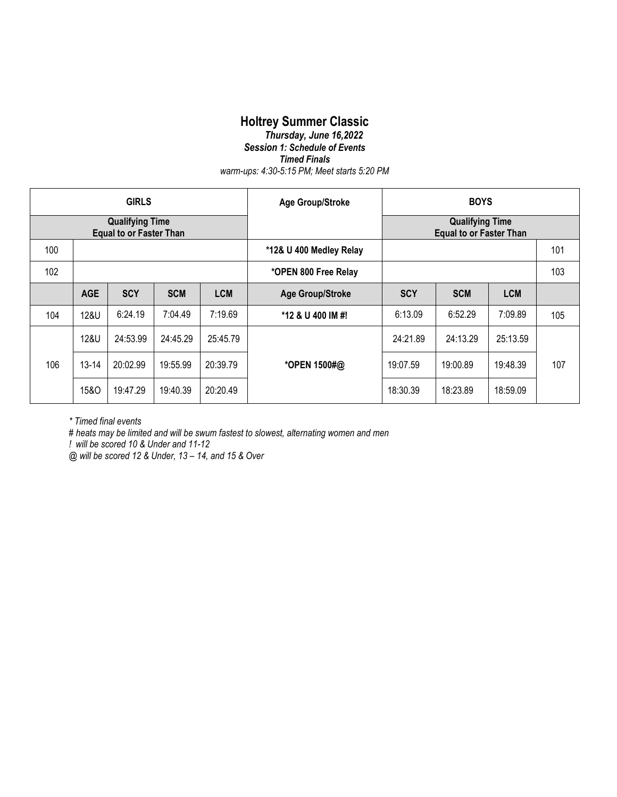# **Holtrey Summer Classic**

#### *Thursday, June 16,2022 Session 1: Schedule of Events Timed Finals warm-ups: 4:30-5:15 PM; Meet starts 5:20 PM*

| <b>GIRLS</b>                                             |                 |            | <b>Age Group/Stroke</b> | <b>BOYS</b> |                         |            |                                                          |            |     |
|----------------------------------------------------------|-----------------|------------|-------------------------|-------------|-------------------------|------------|----------------------------------------------------------|------------|-----|
| <b>Qualifying Time</b><br><b>Equal to or Faster Than</b> |                 |            |                         |             |                         |            | <b>Qualifying Time</b><br><b>Equal to or Faster Than</b> |            |     |
| 100                                                      |                 |            | *12& U 400 Medley Relay |             |                         |            | 101                                                      |            |     |
| 102                                                      |                 |            |                         |             | *OPEN 800 Free Relay    |            |                                                          |            | 103 |
|                                                          | <b>AGE</b>      | <b>SCY</b> | <b>SCM</b>              | <b>LCM</b>  | <b>Age Group/Stroke</b> | <b>SCY</b> | <b>SCM</b>                                               | <b>LCM</b> |     |
| 104                                                      | 12&U            | 6:24.19    | 7:04.49                 | 7:19.69     | *12 & U 400 IM #!       | 6:13.09    | 6:52.29                                                  | 7:09.89    | 105 |
|                                                          | 12&U            | 24:53.99   | 24:45.29                | 25:45.79    |                         | 24:21.89   | 24:13.29                                                 | 25:13.59   |     |
| 106                                                      | $13 - 14$       | 20:02.99   | 19:55.99                | 20:39.79    | *OPEN 1500#@            | 19:07.59   | 19:00.89                                                 | 19:48.39   | 107 |
|                                                          | <b>15&amp;O</b> | 19:47.29   | 19:40.39                | 20:20.49    |                         | 18:30.39   | 18:23.89                                                 | 18:59.09   |     |

*\* Timed final events* 

*# heats may be limited and will be swum fastest to slowest, alternating women and men*

*! will be scored 10 & Under and 11-12*

*@ will be scored 12 & Under, 13 – 14, and 15 & Over*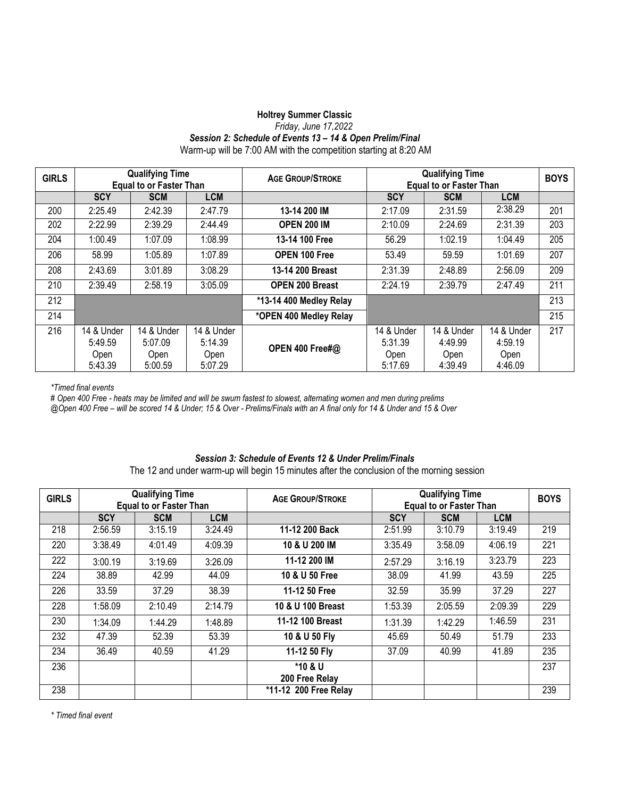#### **Holtrey Summer Classic**  *Friday, June 17,2022 Session 2: Schedule of Events 13 – 14 & Open Prelim/Final* Warm-up will be 7:00 AM with the competition starting at 8:20 AM

| <b>GIRLS</b> | <b>Qualifying Time</b><br><b>Equal to or Faster Than</b> |            |            | <b>AGE GROUP/STROKE</b> | <b>Qualifying Time</b><br><b>Equal to or Faster Than</b> |            |            | <b>BOYS</b> |
|--------------|----------------------------------------------------------|------------|------------|-------------------------|----------------------------------------------------------|------------|------------|-------------|
|              | <b>SCY</b>                                               | <b>SCM</b> | <b>LCM</b> |                         | <b>SCY</b>                                               | <b>SCM</b> | <b>LCM</b> |             |
| 200          | 2:25.49                                                  | 2:42.39    | 2:47.79    | 13-14 200 IM            | 2:17.09                                                  | 2:31.59    | 2:38.29    | 201         |
| 202          | 2:22.99                                                  | 2:39.29    | 2:44.49    | <b>OPEN 200 IM</b>      | 2:10.09                                                  | 2:24.69    | 2:31.39    | 203         |
| 204          | 1:00.49                                                  | 1:07.09    | 1:08.99    | 13-14 100 Free          | 56.29                                                    | 1:02.19    | 1:04.49    | 205         |
| 206          | 58.99                                                    | 1:05.89    | 1:07.89    | OPEN 100 Free           | 53.49                                                    | 59.59      | 1:01.69    | 207         |
| 208          | 2:43.69                                                  | 3:01.89    | 3:08.29    | 13-14 200 Breast        | 2:31.39                                                  | 2:48.89    | 2:56.09    | 209         |
| 210          | 2:39.49                                                  | 2:58.19    | 3:05.09    | <b>OPEN 200 Breast</b>  | 2:24.19                                                  | 2:39.79    | 2:47.49    | 211         |
| 212          |                                                          |            |            | *13-14 400 Medley Relay |                                                          |            |            | 213         |
| 214          |                                                          |            |            | *OPEN 400 Medley Relay  |                                                          |            |            | 215         |
| 216          | 14 & Under                                               | 14 & Under | 14 & Under |                         | 14 & Under                                               | 14 & Under | 14 & Under | 217         |
|              | 5:49.59                                                  | 5:07.09    | 5:14.39    | OPEN 400 Free#@         | 5:31.39                                                  | 4:49.99    | 4:59.19    |             |
|              | Open                                                     | Open       | Open       |                         | Open                                                     | Open       | Open       |             |
|              | 5:43.39                                                  | 5:00.59    | 5:07.29    |                         | 5:17.69                                                  | 4:39.49    | 4:46.09    |             |

*\*Timed final events* 

*# Open 400 Free - heats may be limited and will be swum fastest to slowest, alternating women and men during prelims @Open 400 Free – will be scored 14 & Under; 15 & Over - Prelims/Finals with an A final only for 14 & Under and 15 & Over*

#### *Session 3: Schedule of Events 12 & Under Prelim/Finals*

The 12 and under warm-up will begin 15 minutes after the conclusion of the morning session

| <b>GIRLS</b> | <b>Qualifying Time</b><br><b>Equal to or Faster Than</b> |            |            | <b>AGE GROUP/STROKE</b>   |            | <b>Qualifying Time</b><br><b>Equal to or Faster Than</b> |            | <b>BOYS</b> |
|--------------|----------------------------------------------------------|------------|------------|---------------------------|------------|----------------------------------------------------------|------------|-------------|
|              | <b>SCY</b>                                               | <b>SCM</b> | <b>LCM</b> |                           | <b>SCY</b> | <b>SCM</b>                                               | <b>LCM</b> |             |
| 218          | 2:56.59                                                  | 3:15.19    | 3:24.49    | 11-12 200 Back            | 2:51.99    | 3:10.79                                                  | 3:19.49    | 219         |
| 220          | 3:38.49                                                  | 4:01.49    | 4:09.39    | 10 & U 200 IM             | 3:35.49    | 3:58.09                                                  | 4:06.19    | 221         |
| 222          | 3:00.19                                                  | 3:19.69    | 3:26.09    | 11-12 200 IM              | 2:57.29    | 3:16.19                                                  | 3:23.79    | 223         |
| 224          | 38.89                                                    | 42.99      | 44.09      | 10 & U 50 Free            | 38.09      | 41.99                                                    | 43.59      | 225         |
| 226          | 33.59                                                    | 37.29      | 38.39      | 11-12 50 Free             | 32.59      | 35.99                                                    | 37.29      | 227         |
| 228          | 1:58.09                                                  | 2:10.49    | 2:14.79    | 10 & U 100 Breast         | 1:53.39    | 2:05.59                                                  | 2:09.39    | 229         |
| 230          | 1:34.09                                                  | 1:44.29    | 1:48.89    | 11-12 100 Breast          | 1:31.39    | 1:42.29                                                  | 1:46.59    | 231         |
| 232          | 47.39                                                    | 52.39      | 53.39      | 10 & U 50 Fly             | 45.69      | 50.49                                                    | 51.79      | 233         |
| 234          | 36.49                                                    | 40.59      | 41.29      | 11-12 50 Fly              | 37.09      | 40.99                                                    | 41.89      | 235         |
| 236          |                                                          |            |            | *10 & U<br>200 Free Relay |            |                                                          |            | 237         |
| 238          |                                                          |            |            | *11-12 200 Free Relay     |            |                                                          |            | 239         |

*\* Timed final event*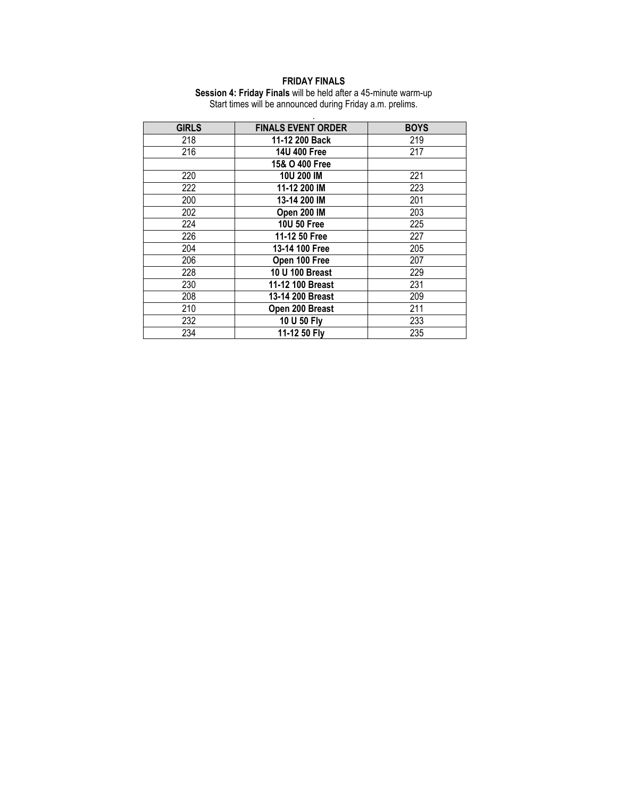#### **FRIDAY FINALS**

**Session 4: Friday Finals** will be held after a 45-minute warm-up Start times will be announced during Friday a.m. prelims. .

| <b>GIRLS</b> | <b>FINALS EVENT ORDER</b> | <b>BOYS</b> |
|--------------|---------------------------|-------------|
| 218          | 11-12 200 Back            | 219         |
| 216          | 14U 400 Free              | 217         |
|              | 15& O 400 Free            |             |
| 220          | 10U 200 IM                | 221         |
| 222          | 11-12 200 IM              | 223         |
| 200          | 13-14 200 IM              | 201         |
| 202          | Open 200 IM               | 203         |
| 224          | 10U 50 Free               | 225         |
| 226          | 11-12 50 Free             | 227         |
| 204          | 13-14 100 Free            | 205         |
| 206          | Open 100 Free             | 207         |
| 228          | 10 U 100 Breast           | 229         |
| 230          | 11-12 100 Breast          | 231         |
| 208          | 13-14 200 Breast          | 209         |
| 210          | Open 200 Breast           | 211         |
| 232          | 10 U 50 Fly               | 233         |
| 234          | 11-12 50 Fly              | 235         |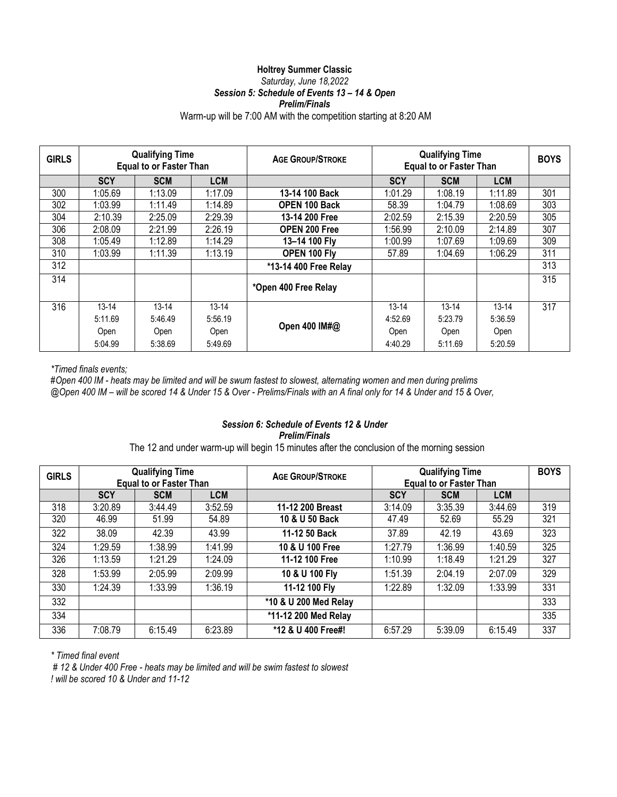#### **Holtrey Summer Classic**  *Saturday, June 18,2022 Session 5: Schedule of Events 13 – 14 & Open*

#### *Prelim/Finals*

### Warm-up will be 7:00 AM with the competition starting at 8:20 AM

| <b>GIRLS</b> | <b>Qualifying Time</b><br><b>Equal to or Faster Than</b> |            | <b>AGE GROUP/STROKE</b> |                       | <b>Qualifying Time</b><br><b>Equal to or Faster Than</b> |            |            |     |
|--------------|----------------------------------------------------------|------------|-------------------------|-----------------------|----------------------------------------------------------|------------|------------|-----|
|              | <b>SCY</b>                                               | <b>SCM</b> | <b>LCM</b>              |                       | <b>SCY</b>                                               | <b>SCM</b> | <b>LCM</b> |     |
| 300          | 1:05.69                                                  | 1:13.09    | 1:17.09                 | 13-14 100 Back        | 1:01.29                                                  | 1:08.19    | 1:11.89    | 301 |
| 302          | 1:03.99                                                  | 1:11.49    | 1:14.89                 | <b>OPEN 100 Back</b>  | 58.39                                                    | 1:04.79    | 1:08.69    | 303 |
| 304          | 2:10.39                                                  | 2:25.09    | 2:29.39                 | 13-14 200 Free        | 2:02.59                                                  | 2:15.39    | 2:20.59    | 305 |
| 306          | 2:08.09                                                  | 2:21.99    | 2:26.19                 | <b>OPEN 200 Free</b>  | 1:56.99                                                  | 2:10.09    | 2:14.89    | 307 |
| 308          | 1:05.49                                                  | 1:12.89    | 1:14.29                 | 13-14 100 Fly         | 1:00.99                                                  | 1:07.69    | 1:09.69    | 309 |
| 310          | 1:03.99                                                  | 1:11.39    | 1:13.19                 | OPEN 100 Fly          | 57.89                                                    | 1:04.69    | 1:06.29    | 311 |
| 312          |                                                          |            |                         | *13-14 400 Free Relay |                                                          |            |            | 313 |
| 314          |                                                          |            |                         | *Open 400 Free Relay  |                                                          |            |            | 315 |
| 316          | $13 - 14$                                                | $13 - 14$  | $13 - 14$               |                       | $13 - 14$                                                | $13 - 14$  | $13 - 14$  | 317 |
|              | 5:11.69                                                  | 5:46.49    | 5:56.19                 |                       | 4:52.69                                                  | 5:23.79    | 5:36.59    |     |
|              | Open                                                     | Open       | Open                    | Open 400 IM#@         | Open                                                     | Open       | Open       |     |
|              | 5:04.99                                                  | 5:38.69    | 5:49.69                 |                       | 4:40.29                                                  | 5:11.69    | 5:20.59    |     |

*\*Timed finals events;*

*#Open 400 IM - heats may be limited and will be swum fastest to slowest, alternating women and men during prelims @Open 400 IM – will be scored 14 & Under 15 & Over - Prelims/Finals with an A final only for 14 & Under and 15 & Over,* 

#### *Session 6: Schedule of Events 12 & Under Prelim/Finals*

The 12 and under warm-up will begin 15 minutes after the conclusion of the morning session

| <b>GIRLS</b> | <b>Qualifying Time</b><br><b>Equal to or Faster Than</b> |            | <b>AGE GROUP/STROKE</b> | <b>Qualifying Time</b><br><b>Equal to or Faster Than</b> |            |            | <b>BOYS</b> |     |
|--------------|----------------------------------------------------------|------------|-------------------------|----------------------------------------------------------|------------|------------|-------------|-----|
|              | <b>SCY</b>                                               | <b>SCM</b> | <b>LCM</b>              |                                                          | <b>SCY</b> | <b>SCM</b> | <b>LCM</b>  |     |
| 318          | 3:20.89                                                  | 3:44.49    | 3:52.59                 | 11-12 200 Breast                                         | 3:14.09    | 3:35.39    | 3:44.69     | 319 |
| 320          | 46.99                                                    | 51.99      | 54.89                   | 10 & U 50 Back                                           | 47.49      | 52.69      | 55.29       | 321 |
| 322          | 38.09                                                    | 42.39      | 43.99                   | 11-12 50 Back                                            | 37.89      | 42.19      | 43.69       | 323 |
| 324          | 1:29.59                                                  | 1:38.99    | 1:41.99                 | 10 & U 100 Free                                          | 1:27.79    | 1:36.99    | 1:40.59     | 325 |
| 326          | 1:13.59                                                  | 1:21.29    | 1:24.09                 | 11-12 100 Free                                           | 1:10.99    | 1:18.49    | 1:21.29     | 327 |
| 328          | 1:53.99                                                  | 2:05.99    | 2:09.99                 | 10 & U 100 Fly                                           | 1:51.39    | 2:04.19    | 2:07.09     | 329 |
| 330          | 1:24.39                                                  | 1:33.99    | 1:36.19                 | 11-12 100 Fly                                            | 1:22.89    | 1:32.09    | 1:33.99     | 331 |
| 332          |                                                          |            |                         | *10 & U 200 Med Relay                                    |            |            |             | 333 |
| 334          |                                                          |            |                         | *11-12 200 Med Relay                                     |            |            |             | 335 |
| 336          | 7:08.79                                                  | 6:15.49    | 6:23.89                 | *12 & U 400 Free#!                                       | 6:57.29    | 5:39.09    | 6:15.49     | 337 |

*\* Timed final event*

*# 12 & Under 400 Free - heats may be limited and will be swim fastest to slowest ! will be scored 10 & Under and 11-12*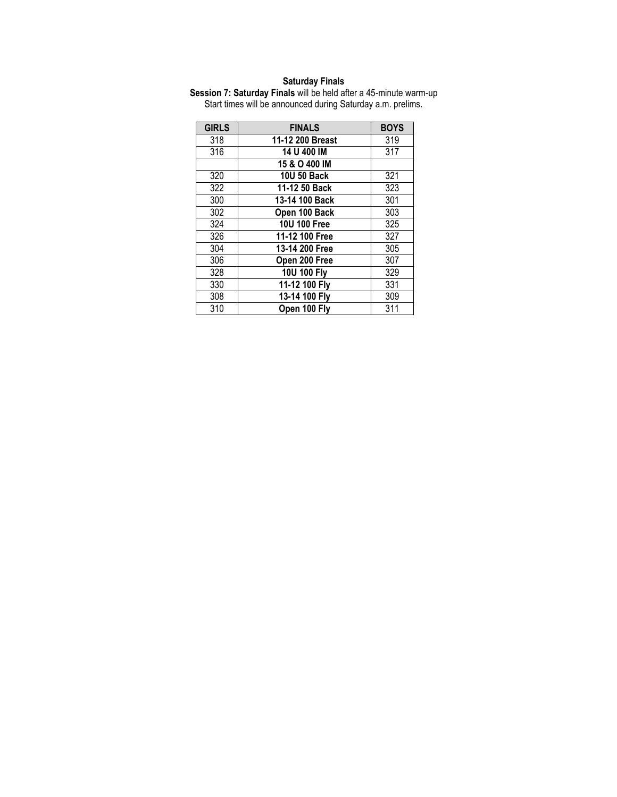#### **Saturday Finals**

**Session 7: Saturday Finals** will be held after a 45-minute warm-up Start times will be announced during Saturday a.m. prelims.

| <b>GIRLS</b> | <b>FINALS</b>    | <b>BOYS</b> |
|--------------|------------------|-------------|
| 318          | 11-12 200 Breast | 319         |
| 316          | 14 U 400 IM      | 317         |
|              | 15 & O 400 IM    |             |
| 320          | 10U 50 Back      | 321         |
| 322          | 11-12 50 Back    | 323         |
| 300          | 13-14 100 Back   | 301         |
| 302          | Open 100 Back    | 303         |
| 324          | 10U 100 Free     | 325         |
| 326          | 11-12 100 Free   | 327         |
| 304          | 13-14 200 Free   | 305         |
| 306          | Open 200 Free    | 307         |
| 328          | 10U 100 Fly      | 329         |
| 330          | 11-12 100 Fly    | 331         |
| 308          | 13-14 100 Fly    | 309         |
| 310          | Open 100 Fly     | 311         |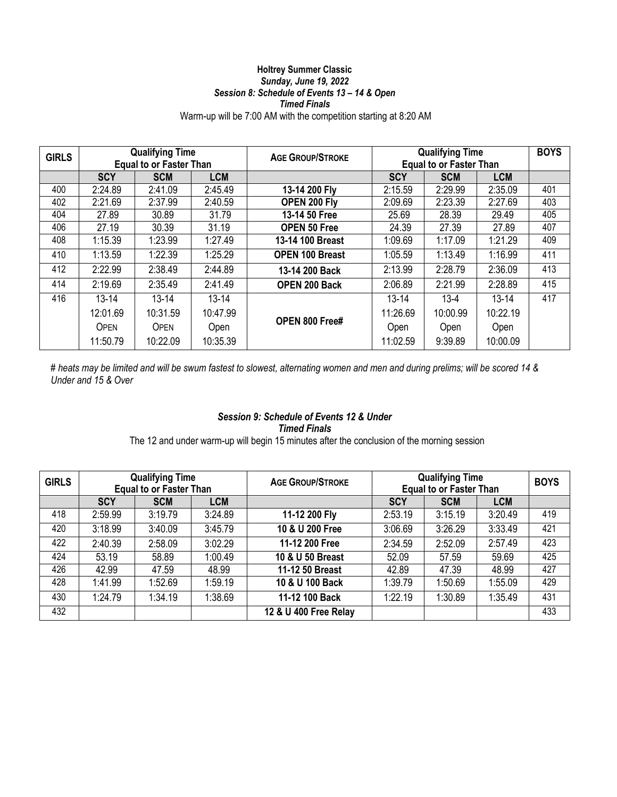#### **Holtrey Summer Classic**  *Sunday, June 19, 2022 Session 8: Schedule of Events 13 – 14 & Open Timed Finals*

### Warm-up will be 7:00 AM with the competition starting at 8:20 AM

| <b>GIRLS</b> | <b>Qualifying Time</b><br><b>Equal to or Faster Than</b> |            | <b>AGE GROUP/STROKE</b> | <b>Qualifying Time</b><br><b>Equal to or Faster Than</b> |            |            | <b>BOYS</b> |     |
|--------------|----------------------------------------------------------|------------|-------------------------|----------------------------------------------------------|------------|------------|-------------|-----|
|              | <b>SCY</b>                                               | <b>SCM</b> | <b>LCM</b>              |                                                          | <b>SCY</b> | <b>SCM</b> | <b>LCM</b>  |     |
| 400          | 2:24.89                                                  | 2:41.09    | 2:45.49                 | 13-14 200 Fly                                            | 2:15.59    | 2:29.99    | 2:35.09     | 401 |
| 402          | 2:21.69                                                  | 2:37.99    | 2:40.59                 | OPEN 200 Fly                                             | 2:09.69    | 2:23.39    | 2:27.69     | 403 |
| 404          | 27.89                                                    | 30.89      | 31.79                   | 13-14 50 Free                                            | 25.69      | 28.39      | 29.49       | 405 |
| 406          | 27.19                                                    | 30.39      | 31.19                   | <b>OPEN 50 Free</b>                                      | 24.39      | 27.39      | 27.89       | 407 |
| 408          | 1:15.39                                                  | 1:23.99    | 1:27.49                 | 13-14 100 Breast                                         | 1:09.69    | 1:17.09    | 1:21.29     | 409 |
| 410          | 1:13.59                                                  | 1:22.39    | 1:25.29                 | <b>OPEN 100 Breast</b>                                   | 1:05.59    | 1:13.49    | 1:16.99     | 411 |
| 412          | 2:22.99                                                  | 2:38.49    | 2:44.89                 | 13-14 200 Back                                           | 2:13.99    | 2:28.79    | 2:36.09     | 413 |
| 414          | 2:19.69                                                  | 2:35.49    | 2:41.49                 | <b>OPEN 200 Back</b>                                     | 2:06.89    | 2:21.99    | 2:28.89     | 415 |
| 416          | $13 - 14$                                                | $13 - 14$  | $13 - 14$               |                                                          | $13 - 14$  | $13 - 4$   | $13 - 14$   | 417 |
|              | 12:01.69                                                 | 10:31.59   | 10:47.99                |                                                          | 11:26.69   | 10:00.99   | 10:22.19    |     |
|              | <b>OPEN</b>                                              | OPEN       | Open                    | <b>OPEN 800 Free#</b>                                    | Open       | Open       | Open        |     |
|              | 11:50.79                                                 | 10:22.09   | 10:35.39                |                                                          | 11:02.59   | 9:39.89    | 10:00.09    |     |

*# heats may be limited and will be swum fastest to slowest, alternating women and men and during prelims; will be scored 14 & Under and 15 & Over*

#### *Session 9: Schedule of Events 12 & Under Timed Finals*

The 12 and under warm-up will begin 15 minutes after the conclusion of the morning session

| <b>GIRLS</b> | <b>Qualifying Time</b><br><b>Equal to or Faster Than</b> |            |            | <b>AGE GROUP/STROKE</b> | <b>Qualifying Time</b><br><b>Equal to or Faster Than</b> |            |            | <b>BOYS</b> |
|--------------|----------------------------------------------------------|------------|------------|-------------------------|----------------------------------------------------------|------------|------------|-------------|
|              | <b>SCY</b>                                               | <b>SCM</b> | <b>LCM</b> |                         | <b>SCY</b>                                               | <b>SCM</b> | <b>LCM</b> |             |
| 418          | 2:59.99                                                  | 3:19.79    | 3:24.89    | 11-12 200 Fly           | 2:53.19                                                  | 3:15.19    | 3:20.49    | 419         |
| 420          | 3:18.99                                                  | 3:40.09    | 3:45.79    | 10 & U 200 Free         | 3:06.69                                                  | 3:26.29    | 3:33.49    | 421         |
| 422          | 2:40.39                                                  | 2:58.09    | 3:02.29    | 11-12 200 Free          | 2:34.59                                                  | 2:52.09    | 2:57.49    | 423         |
| 424          | 53.19                                                    | 58.89      | 1:00.49    | 10 & U 50 Breast        | 52.09                                                    | 57.59      | 59.69      | 425         |
| 426          | 42.99                                                    | 47.59      | 48.99      | 11-12 50 Breast         | 42.89                                                    | 47.39      | 48.99      | 427         |
| 428          | 1:41.99                                                  | 1:52.69    | 1:59.19    | 10 & U 100 Back         | 1:39.79                                                  | 1:50.69    | 1:55.09    | 429         |
| 430          | 1:24.79                                                  | 1:34.19    | 1:38.69    | 11-12 100 Back          | 1:22.19                                                  | 1:30.89    | 1:35.49    | 431         |
| 432          |                                                          |            |            | 12 & U 400 Free Relay   |                                                          |            |            | 433         |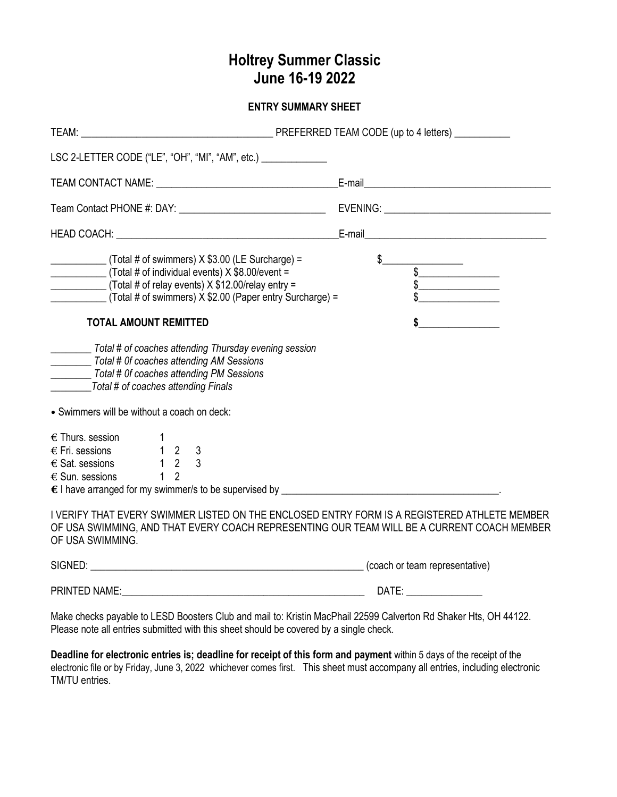# **Holtrey Summer Classic June 16-19 2022**

**ENTRY SUMMARY SHEET**

| LSC 2-LETTER CODE ("LE", "OH", "MI", "AM", etc.) _______________                                                                                                                                                                                                                                                                                                                                             |                                                                               |
|--------------------------------------------------------------------------------------------------------------------------------------------------------------------------------------------------------------------------------------------------------------------------------------------------------------------------------------------------------------------------------------------------------------|-------------------------------------------------------------------------------|
|                                                                                                                                                                                                                                                                                                                                                                                                              |                                                                               |
|                                                                                                                                                                                                                                                                                                                                                                                                              |                                                                               |
|                                                                                                                                                                                                                                                                                                                                                                                                              |                                                                               |
| $(Total \# of swimmers) \times $3.00$ (LE Surcharge) =<br>$\frac{1}{2}$ (Total # of individual events) X \$8.00/event =<br>$\frac{1}{2}$ (Total # of relay events) X \$12.00/relay entry =<br>$T$ (Total # of swimmers) $\overline{X}$ \$2.00 (Paper entry Surcharge) =<br><b>TOTAL AMOUNT REMITTED</b><br>Total # of coaches attending Thursday evening session<br>Total # 0f coaches attending AM Sessions | $\begin{array}{c c}\n\text{S}\n\end{array}$<br>$\frac{1}{2}$<br>$\frac{1}{2}$ |
| Total # 0f coaches attending PM Sessions<br>Total # of coaches attending Finals                                                                                                                                                                                                                                                                                                                              |                                                                               |
| • Swimmers will be without a coach on deck:<br>$\epsilon$ Thurs. session<br>$\epsilon$ Fri. sessions 1 2 3<br>$\overline{\epsilon}$ Sat. sessions 1 2 3<br>1 <sub>2</sub><br>$\epsilon$ Sun. sessions                                                                                                                                                                                                        |                                                                               |
| I VERIFY THAT EVERY SWIMMER LISTED ON THE ENCLOSED ENTRY FORM IS A REGISTERED ATHLETE MEMBER<br>OF USA SWIMMING, AND THAT EVERY COACH REPRESENTING OUR TEAM WILL BE A CURRENT COACH MEMBER<br>OF USA SWIMMING.                                                                                                                                                                                               |                                                                               |
| SIGNED: (coach or team representative)                                                                                                                                                                                                                                                                                                                                                                       |                                                                               |
|                                                                                                                                                                                                                                                                                                                                                                                                              |                                                                               |

Make checks payable to LESD Boosters Club and mail to: Kristin MacPhail 22599 Calverton Rd Shaker Hts, OH 44122. Please note all entries submitted with this sheet should be covered by a single check.

**Deadline for electronic entries is; deadline for receipt of this form and payment** within 5 days of the receipt of the electronic file or by Friday, June 3, 2022 whichever comes first.This sheet must accompany all entries, including electronic TM/TU entries.